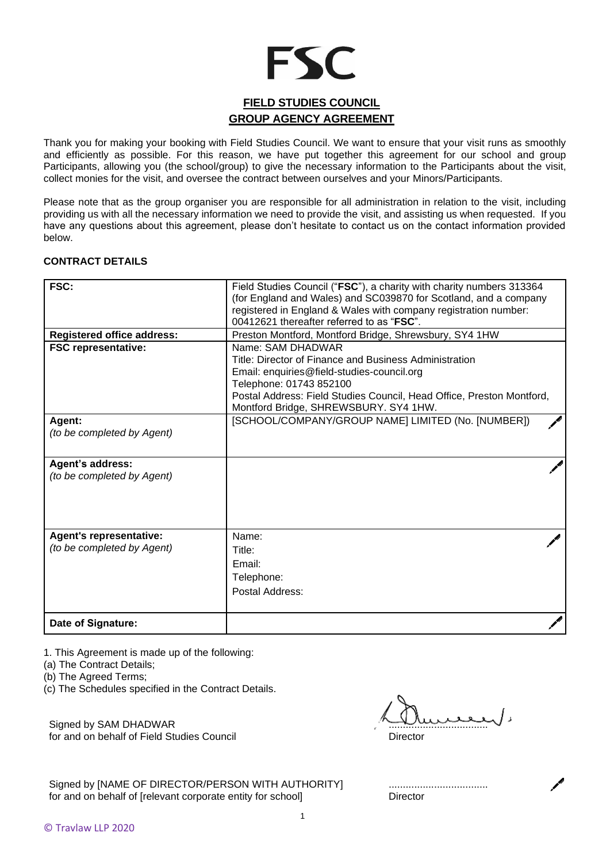# **FSC**

## **FIELD STUDIES COUNCIL GROUP AGENCY AGREEMENT**

Thank you for making your booking with Field Studies Council. We want to ensure that your visit runs as smoothly and efficiently as possible. For this reason, we have put together this agreement for our school and group Participants, allowing you (the school/group) to give the necessary information to the Participants about the visit, collect monies for the visit, and oversee the contract between ourselves and your Minors/Participants.

Please note that as the group organiser you are responsible for all administration in relation to the visit, including providing us with all the necessary information we need to provide the visit, and assisting us when requested. If you have any questions about this agreement, please don't hesitate to contact us on the contact information provided below.

### **CONTRACT DETAILS**

| FSC:                                                         | Field Studies Council ("FSC"), a charity with charity numbers 313364<br>(for England and Wales) and SC039870 for Scotland, and a company<br>registered in England & Wales with company registration number:<br>00412621 thereafter referred to as "FSC". |
|--------------------------------------------------------------|----------------------------------------------------------------------------------------------------------------------------------------------------------------------------------------------------------------------------------------------------------|
| <b>Registered office address:</b>                            | Preston Montford, Montford Bridge, Shrewsbury, SY4 1HW                                                                                                                                                                                                   |
| <b>FSC representative:</b>                                   | Name: SAM DHADWAR<br>Title: Director of Finance and Business Administration<br>Email: enquiries@field-studies-council.org<br>Telephone: 01743 852100<br>Postal Address: Field Studies Council, Head Office, Preston Montford,                            |
|                                                              | Montford Bridge, SHREWSBURY. SY4 1HW.                                                                                                                                                                                                                    |
| Agent:<br>(to be completed by Agent)                         | [SCHOOL/COMPANY/GROUP NAME] LIMITED (No. [NUMBER])                                                                                                                                                                                                       |
| Agent's address:<br>(to be completed by Agent)               |                                                                                                                                                                                                                                                          |
| <b>Agent's representative:</b><br>(to be completed by Agent) | Name:<br>Title:<br>Email:<br>Telephone:<br>Postal Address:                                                                                                                                                                                               |
| Date of Signature:                                           |                                                                                                                                                                                                                                                          |

1. This Agreement is made up of the following:

(a) The Contract Details;

(b) The Agreed Terms;

(c) The Schedules specified in the Contract Details.

Signed by SAM DHADWAR for and on behalf of Field Studies Council

................................... **Director** 

Signed by [NAME OF DIRECTOR/PERSON WITH AUTHORITY] for and on behalf of [relevant corporate entity for school]

................................... **Director** 

1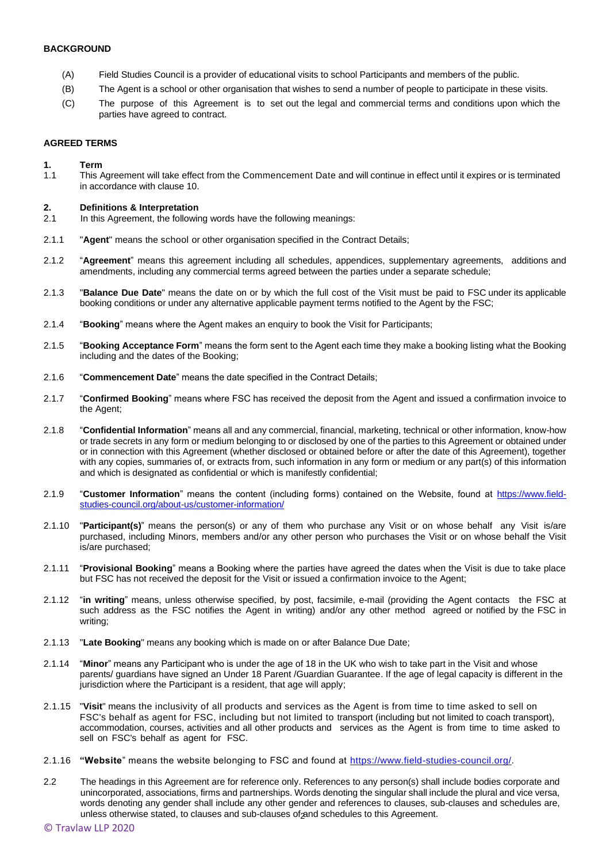#### **BACKGROUND**

- (A) Field Studies Council is a provider of educational visits to school Participants and members of the public.
- (B) The Agent is a school or other organisation that wishes to send a number of people to participate in these visits.
- (C) The purpose of this Agreement is to set out the legal and commercial terms and conditions upon which the parties have agreed to contract.

#### **AGREED TERMS**

#### **1. Term**

1.1 This Agreement will take effect from the Commencement Date and will continue in effect until it expires or is terminated in accordance with clause 10.

#### **2. Definitions & Interpretation**

- 2.1 In this Agreement, the following words have the following meanings:
- 2.1.1 "**Agent**" means the school or other organisation specified in the Contract Details;
- 2.1.2 "**Agreement**" means this agreement including all schedules, appendices, supplementary agreements, additions and amendments, including any commercial terms agreed between the parties under a separate schedule;
- 2.1.3 "**Balance Due Date**" means the date on or by which the full cost of the Visit must be paid to FSC under its applicable booking conditions or under any alternative applicable payment terms notified to the Agent by the FSC;
- 2.1.4 "**Booking**" means where the Agent makes an enquiry to book the Visit for Participants;
- 2.1.5 "**Booking Acceptance Form**" means the form sent to the Agent each time they make a booking listing what the Booking including and the dates of the Booking;
- 2.1.6 "**Commencement Date**" means the date specified in the Contract Details;
- 2.1.7 "**Confirmed Booking**" means where FSC has received the deposit from the Agent and issued a confirmation invoice to the Agent;
- 2.1.8 "**Confidential Information**" means all and any commercial, financial, marketing, technical or other information, know-how or trade secrets in any form or medium belonging to or disclosed by one of the parties to this Agreement or obtained under or in connection with this Agreement (whether disclosed or obtained before or after the date of this Agreement), together with any copies, summaries of, or extracts from, such information in any form or medium or any part(s) of this information and which is designated as confidential or which is manifestly confidential;
- 2.1.9 "**Customer Information**" means the content (including forms) contained on the Website, found at [https://www.field](https://www.field-studies-council.org/about-us/customer-information/)[studies-council.org/about-us/customer-information/](https://www.field-studies-council.org/about-us/customer-information/)
- 2.1.10 "**Participant(s)**" means the person(s) or any of them who purchase any Visit or on whose behalf any Visit is/are purchased, including Minors, members and/or any other person who purchases the Visit or on whose behalf the Visit is/are purchased;
- 2.1.11 "**Provisional Booking**" means a Booking where the parties have agreed the dates when the Visit is due to take place but FSC has not received the deposit for the Visit or issued a confirmation invoice to the Agent;
- 2.1.12 "**in writing**" means, unless otherwise specified, by post, facsimile, e-mail (providing the Agent contacts the FSC at such address as the FSC notifies the Agent in writing) and/or any other method agreed or notified by the FSC in writing;
- 2.1.13 "**Late Booking**" means any booking which is made on or after Balance Due Date;
- 2.1.14 "**Minor**" means any Participant who is under the age of 18 in the UK who wish to take part in the Visit and whose parents/ guardians have signed an Under 18 Parent /Guardian Guarantee. If the age of legal capacity is different in the jurisdiction where the Participant is a resident, that age will apply;
- 2.1.15 "**Visit**" means the inclusivity of all products and services as the Agent is from time to time asked to sell on FSC's behalf as agent for FSC, including but not limited to transport (including but not limited to coach transport), accommodation, courses, activities and all other products and services as the Agent is from time to time asked to sell on FSC's behalf as agent for FSC.
- 2.1.16 **"Website**" means the website belonging to FSC and found at [https://www.field-studies-council.org/.](https://www.field-studies-council.org/)
- unless otherwise stated, to clauses and sub-clauses of and schedules to this Agreement. 2.2 The headings in this Agreement are for reference only. References to any person(s) shall include bodies corporate and unincorporated, associations, firms and partnerships. Words denoting the singular shall include the plural and vice versa, words denoting any gender shall include any other gender and references to clauses, sub-clauses and schedules are,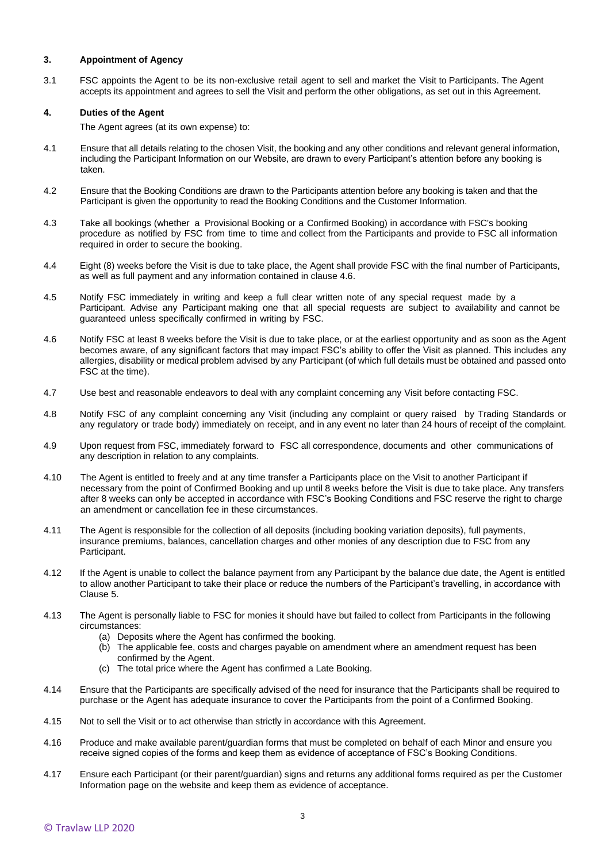#### **3. Appointment of Agency**

3.1 FSC appoints the Agent to be its non-exclusive retail agent to sell and market the Visit to Participants. The Agent accepts its appointment and agrees to sell the Visit and perform the other obligations, as set out in this Agreement.

#### **4. Duties of the Agent**

The Agent agrees (at its own expense) to:

- 4.1 Ensure that all details relating to the chosen Visit, the booking and any other conditions and relevant general information, including the Participant Information on our Website, are drawn to every Participant's attention before any booking is taken.
- 4.2 Ensure that the Booking Conditions are drawn to the Participants attention before any booking is taken and that the Participant is given the opportunity to read the Booking Conditions and the Customer Information.
- 4.3 Take all bookings (whether a Provisional Booking or a Confirmed Booking) in accordance with FSC's booking procedure as notified by FSC from time to time and collect from the Participants and provide to FSC all information required in order to secure the booking.
- 4.4 Eight (8) weeks before the Visit is due to take place, the Agent shall provide FSC with the final number of Participants, as well as full payment and any information contained in clause 4.6.
- 4.5 Notify FSC immediately in writing and keep a full clear written note of any special request made by a Participant. Advise any Participant making one that all special requests are subject to availability and cannot be guaranteed unless specifically confirmed in writing by FSC.
- 4.6 Notify FSC at least 8 weeks before the Visit is due to take place, or at the earliest opportunity and as soon as the Agent becomes aware, of any significant factors that may impact FSC's ability to offer the Visit as planned. This includes any allergies, disability or medical problem advised by any Participant (of which full details must be obtained and passed onto FSC at the time).
- 4.7 Use best and reasonable endeavors to deal with any complaint concerning any Visit before contacting FSC.
- 4.8 Notify FSC of any complaint concerning any Visit (including any complaint or query raised by Trading Standards or any regulatory or trade body) immediately on receipt, and in any event no later than 24 hours of receipt of the complaint.
- 4.9 Upon request from FSC, immediately forward to FSC all correspondence, documents and other communications of any description in relation to any complaints.
- 4.10 The Agent is entitled to freely and at any time transfer a Participants place on the Visit to another Participant if necessary from the point of Confirmed Booking and up until 8 weeks before the Visit is due to take place. Any transfers after 8 weeks can only be accepted in accordance with FSC's Booking Conditions and FSC reserve the right to charge an amendment or cancellation fee in these circumstances.
- 4.11 The Agent is responsible for the collection of all deposits (including booking variation deposits), full payments, insurance premiums, balances, cancellation charges and other monies of any description due to FSC from any Participant.
- 4.12 If the Agent is unable to collect the balance payment from any Participant by the balance due date, the Agent is entitled to allow another Participant to take their place or reduce the numbers of the Participant's travelling, in accordance with Clause 5.
- 4.13 The Agent is personally liable to FSC for monies it should have but failed to collect from Participants in the following circumstances:
	- (a) Deposits where the Agent has confirmed the booking.
	- (b) The applicable fee, costs and charges payable on amendment where an amendment request has been confirmed by the Agent.
	- (c) The total price where the Agent has confirmed a Late Booking.
- 4.14 Ensure that the Participants are specifically advised of the need for insurance that the Participants shall be required to purchase or the Agent has adequate insurance to cover the Participants from the point of a Confirmed Booking.
- 4.15 Not to sell the Visit or to act otherwise than strictly in accordance with this Agreement.
- 4.16 Produce and make available parent/guardian forms that must be completed on behalf of each Minor and ensure you receive signed copies of the forms and keep them as evidence of acceptance of FSC's Booking Conditions.
- 4.17 Ensure each Participant (or their parent/guardian) signs and returns any additional forms required as per the Customer Information page on the website and keep them as evidence of acceptance.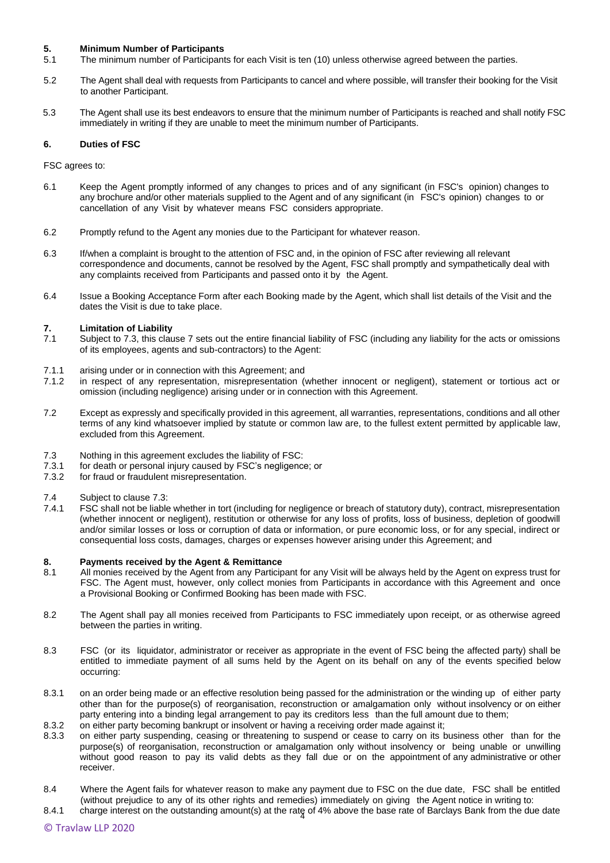#### **5. Minimum Number of Participants**

- 5.1 The minimum number of Participants for each Visit is ten (10) unless otherwise agreed between the parties.
- 5.2 The Agent shall deal with requests from Participants to cancel and where possible, will transfer their booking for the Visit to another Participant.
- 5.3 The Agent shall use its best endeavors to ensure that the minimum number of Participants is reached and shall notify FSC immediately in writing if they are unable to meet the minimum number of Participants.

#### **6. Duties of FSC**

FSC agrees to:

- 6.1 Keep the Agent promptly informed of any changes to prices and of any significant (in FSC's opinion) changes to any brochure and/or other materials supplied to the Agent and of any significant (in FSC's opinion) changes to or cancellation of any Visit by whatever means FSC considers appropriate.
- 6.2 Promptly refund to the Agent any monies due to the Participant for whatever reason.
- 6.3 If/when a complaint is brought to the attention of FSC and, in the opinion of FSC after reviewing all relevant correspondence and documents, cannot be resolved by the Agent, FSC shall promptly and sympathetically deal with any complaints received from Participants and passed onto it by the Agent.
- 6.4 Issue a Booking Acceptance Form after each Booking made by the Agent, which shall list details of the Visit and the dates the Visit is due to take place.

## **7. Limitation of Liability**

- 7.1 Subject t[o 7.3,](#page-3-0) this clause 7 sets out the entire financial liability of FSC (including any liability for the acts or omissions of its employees, agents and sub-contractors) to the Agent:
- 7.1.1 arising under or in connection with this Agreement; and
- 7.1.2 in respect of any representation, misrepresentation (whether innocent or negligent), statement or tortious act or omission (including negligence) arising under or in connection with this Agreement.
- 7.2 Except as expressly and specifically provided in this agreement, all warranties, representations, conditions and all other terms of any kind whatsoever implied by statute or common law are, to the fullest extent permitted by applicable law, excluded from this Agreement.
- <span id="page-3-0"></span>7.3 Nothing in this agreement excludes the liability of FSC:
- 7.3.1 for death or personal injury caused by FSC's negligence; or
- 7.3.2 for fraud or fraudulent misrepresentation.
- 7.4 Subject to clause [7.3:](#page-3-0)<br>7.4.1 FSC shall not be liable
- FSC shall not be liable whether in tort (including for negligence or breach of statutory duty), contract, misrepresentation (whether innocent or negligent), restitution or otherwise for any loss of profits, loss of business, depletion of goodwill and/or similar losses or loss or corruption of data or information, or pure economic loss, or for any special, indirect or consequential loss costs, damages, charges or expenses however arising under this Agreement; and

#### **8. Payments received by the Agent & Remittance**

- 8.1 All monies received by the Agent from any Participant for any Visit will be always held by the Agent on express trust for FSC. The Agent must, however, only collect monies from Participants in accordance with this Agreement and once a Provisional Booking or Confirmed Booking has been made with FSC.
- 8.2 The Agent shall pay all monies received from Participants to FSC immediately upon receipt, or as otherwise agreed between the parties in writing.
- 8.3 FSC (or its liquidator, administrator or receiver as appropriate in the event of FSC being the affected party) shall be entitled to immediate payment of all sums held by the Agent on its behalf on any of the events specified below occurring:
- 8.3.1 on an order being made or an effective resolution being passed for the administration or the winding up of either party other than for the purpose(s) of reorganisation, reconstruction or amalgamation only without insolvency or on either party entering into a binding legal arrangement to pay its creditors less than the full amount due to them;
- 8.3.2 on either party becoming bankrupt or insolvent or having a receiving order made against it;
- 8.3.3 on either party suspending, ceasing or threatening to suspend or cease to carry on its business other than for the purpose(s) of reorganisation, reconstruction or amalgamation only without insolvency or being unable or unwilling without good reason to pay its valid debts as they fall due or on the appointment of any administrative or other receiver.
- 8.4 Where the Agent fails for whatever reason to make any payment due to FSC on the due date, FSC shall be entitled (without prejudice to any of its other rights and remedies) immediately on giving the Agent notice in writing to:
- 8.4.1 charge interest on the outstanding amount(s) at the rate of 4% above the base rate of Barclays Bank from the due date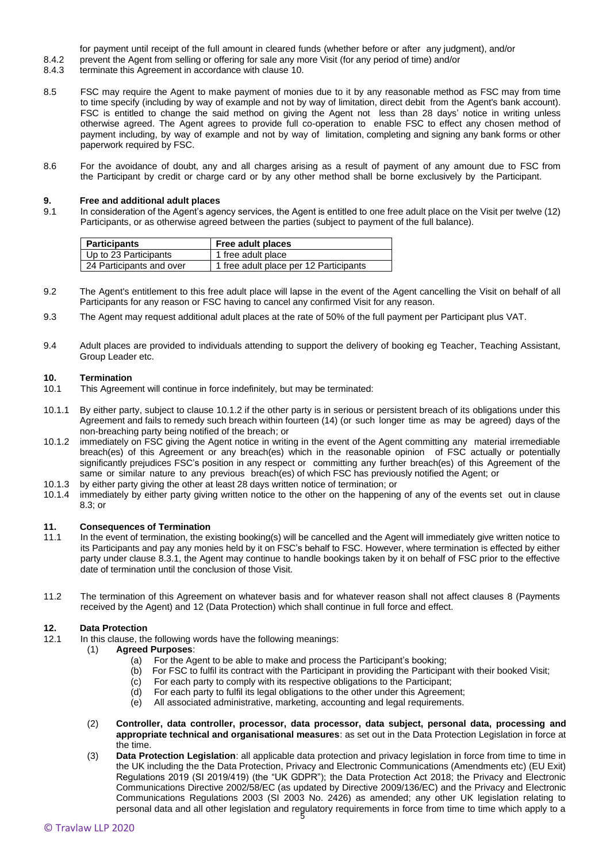for payment until receipt of the full amount in cleared funds (whether before or after any judgment), and/or

- 8.4.2 prevent the Agent from selling or offering for sale any more Visit (for any period of time) and/or
- 8.4.3 terminate this Agreement in accordance with clause 10.
- 8.5 FSC may require the Agent to make payment of monies due to it by any reasonable method as FSC may from time to time specify (including by way of example and not by way of limitation, direct debit from the Agent's bank account). FSC is entitled to change the said method on giving the Agent not less than 28 days' notice in writing unless otherwise agreed. The Agent agrees to provide full co-operation to enable FSC to effect any chosen method of payment including, by way of example and not by way of limitation, completing and signing any bank forms or other paperwork required by FSC.
- 8.6 For the avoidance of doubt, any and all charges arising as a result of payment of any amount due to FSC from the Participant by credit or charge card or by any other method shall be borne exclusively by the Participant.

#### **9. Free and additional adult places**

9.1 In consideration of the Agent's agency services, the Agent is entitled to one free adult place on the Visit per twelve (12) Participants, or as otherwise agreed between the parties (subject to payment of the full balance).

| <b>Participants</b>      | Free adult places                      |
|--------------------------|----------------------------------------|
| Up to 23 Participants    | 1 free adult place                     |
| 24 Participants and over | 1 free adult place per 12 Participants |

- 9.2 The Agent's entitlement to this free adult place will lapse in the event of the Agent cancelling the Visit on behalf of all Participants for any reason or FSC having to cancel any confirmed Visit for any reason.
- 9.3 The Agent may request additional adult places at the rate of 50% of the full payment per Participant plus VAT.
- 9.4 Adult places are provided to individuals attending to support the delivery of booking eg Teacher, Teaching Assistant, Group Leader etc.

#### **10. Termination**

- 10.1 This Agreement will continue in force indefinitely, but may be terminated:
- 10.1.1 By either party, subject to clause 10.1.2 if the other party is in serious or persistent breach of its obligations under this Agreement and fails to remedy such breach within fourteen (14) (or such longer time as may be agreed) days of the non-breaching party being notified of the breach; or
- 10.1.2 immediately on FSC giving the Agent notice in writing in the event of the Agent committing any material irremediable breach(es) of this Agreement or any breach(es) which in the reasonable opinion of FSC actually or potentially significantly prejudices FSC's position in any respect or committing any further breach(es) of this Agreement of the same or similar nature to any previous breach(es) of which FSC has previously notified the Agent; or
- 10.1.3 by either party giving the other at least 28 days written notice of termination; or 10.1.4 immediately by either party giving written notice to the other on the happening
- immediately by either party giving written notice to the other on the happening of any of the events set out in clause 8.3; or

#### **11. Consequences of Termination**

- 11.1 In the event of termination, the existing booking(s) will be cancelled and the Agent will immediately give written notice to its Participants and pay any monies held by it on FSC's behalf to FSC. However, where termination is effected by either party under clause 8.3.1, the Agent may continue to handle bookings taken by it on behalf of FSC prior to the effective date of termination until the conclusion of those Visit.
- 11.2 The termination of this Agreement on whatever basis and for whatever reason shall not affect clauses 8 (Payments received by the Agent) and 12 (Data Protection) which shall continue in full force and effect.

#### **12. Data Protection**

- 12.1 In this clause, the following words have the following meanings:
	- (1) **Agreed Purposes**:
		- (a) For the Agent to be able to make and process the Participant's booking;
		- (b) For FSC to fulfil its contract with the Participant in providing the Participant with their booked Visit;
		- (c) For each party to comply with its respective obligations to the Participant;
		- (d) For each party to fulfil its legal obligations to the other under this Agreement;
		- (e) All associated administrative, marketing, accounting and legal requirements.
	- (2) **Controller, data controller, processor, data processor, data subject, personal data, processing and appropriate technical and organisational measures**: as set out in the Data Protection Legislation in force at the time.
	- 5 personal data and all other legislation and regulatory requirements in force from time to time which apply to a (3) **Data Protection Legislation**: all applicable data protection and privacy legislation in force from time to time in the UK including the the Data Protection, Privacy and Electronic Communications (Amendments etc) (EU Exit) Regulations 2019 (SI 2019/419) (the "UK GDPR"); the Data Protection Act 2018; the Privacy and Electronic Communications Directive 2002/58/EC (as updated by Directive 2009/136/EC) and the Privacy and Electronic Communications Regulations 2003 (SI 2003 No. 2426) as amended; any other UK legislation relating to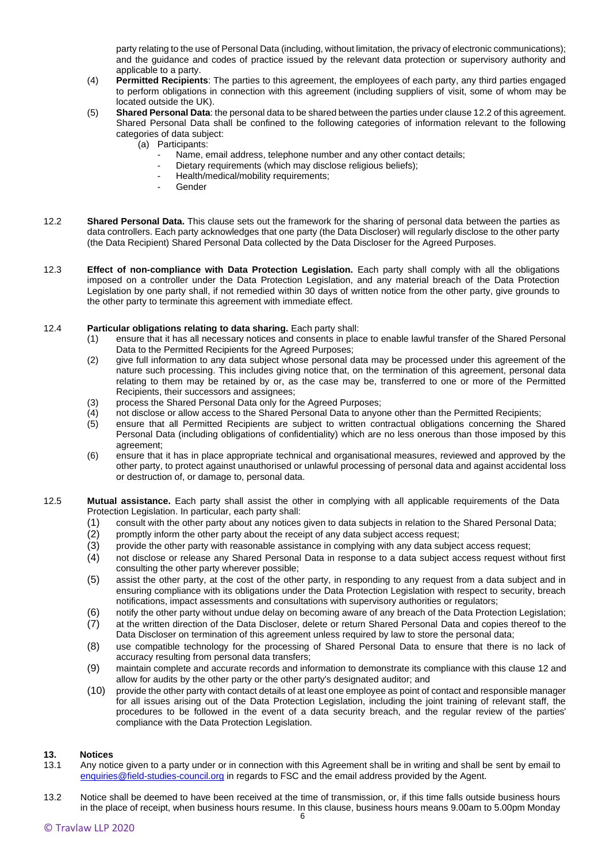party relating to the use of Personal Data (including, without limitation, the privacy of electronic communications); and the guidance and codes of practice issued by the relevant data protection or supervisory authority and applicable to a party.

- (4) **Permitted Recipients**: The parties to this agreement, the employees of each party, any third parties engaged to perform obligations in connection with this agreement (including suppliers of visit, some of whom may be located outside the UK).
- (5) **Shared Personal Data**: the personal data to be shared between the parties under clause 12.2 of this agreement. Shared Personal Data shall be confined to the following categories of information relevant to the following categories of data subject:
	- (a) Participants:
		- Name, email address, telephone number and any other contact details;
		- Dietary requirements (which may disclose religious beliefs);
			- Health/medical/mobility requirements;
			- **Gender**
- 12.2 **Shared Personal Data.** This clause sets out the framework for the sharing of personal data between the parties as data controllers. Each party acknowledges that one party (the Data Discloser) will regularly disclose to the other party (the Data Recipient) Shared Personal Data collected by the Data Discloser for the Agreed Purposes.
- 12.3 **Effect of non-compliance with Data Protection Legislation.** Each party shall comply with all the obligations imposed on a controller under the Data Protection Legislation, and any material breach of the Data Protection Legislation by one party shall, if not remedied within 30 days of written notice from the other party, give grounds to the other party to terminate this agreement with immediate effect.

#### 12.4 **Particular obligations relating to data sharing.** Each party shall:

- (1) ensure that it has all necessary notices and consents in place to enable lawful transfer of the Shared Personal Data to the Permitted Recipients for the Agreed Purposes;
- (2) give full information to any data subject whose personal data may be processed under this agreement of the nature such processing. This includes giving notice that, on the termination of this agreement, personal data relating to them may be retained by or, as the case may be, transferred to one or more of the Permitted Recipients, their successors and assignees;
- (3) process the Shared Personal Data only for the Agreed Purposes;<br>(4) not disclose or allow access to the Shared Personal Data to anyo
- not disclose or allow access to the Shared Personal Data to anyone other than the Permitted Recipients;
- (5) ensure that all Permitted Recipients are subject to written contractual obligations concerning the Shared Personal Data (including obligations of confidentiality) which are no less onerous than those imposed by this agreement;
- (6) ensure that it has in place appropriate technical and organisational measures, reviewed and approved by the other party, to protect against unauthorised or unlawful processing of personal data and against accidental loss or destruction of, or damage to, personal data.
- 12.5 **Mutual assistance.** Each party shall assist the other in complying with all applicable requirements of the Data Protection Legislation. In particular, each party shall:
	- (1) consult with the other party about any notices given to data subjects in relation to the Shared Personal Data;<br>(2) promptly inform the other party about the receipt of any data subject access request;
	- promptly inform the other party about the receipt of any data subject access request;
	- (3) provide the other party with reasonable assistance in complying with any data subject access request;
	- (4) not disclose or release any Shared Personal Data in response to a data subject access request without first consulting the other party wherever possible;
	- (5) assist the other party, at the cost of the other party, in responding to any request from a data subject and in ensuring compliance with its obligations under the Data Protection Legislation with respect to security, breach notifications, impact assessments and consultations with supervisory authorities or regulators;
	- (6) notify the other party without undue delay on becoming aware of any breach of the Data Protection Legislation;
	- (7) at the written direction of the Data Discloser, delete or return Shared Personal Data and copies thereof to the Data Discloser on termination of this agreement unless required by law to store the personal data;
	- (8) use compatible technology for the processing of Shared Personal Data to ensure that there is no lack of accuracy resulting from personal data transfers;
	- (9) maintain complete and accurate records and information to demonstrate its compliance with this clause 12 and allow for audits by the other party or the other party's designated auditor; and
	- (10) provide the other party with contact details of at least one employee as point of contact and responsible manager for all issues arising out of the Data Protection Legislation, including the joint training of relevant staff, the procedures to be followed in the event of a data security breach, and the regular review of the parties' compliance with the Data Protection Legislation.

#### **13. Notices**

- 13.1 Any notice given to a party under or in connection with this Agreement shall be in writing and shall be sent by email to [enquiries@field-studies-council.org](mailto:enquiries@field-studies-council.org) in regards to FSC and the email address provided by the Agent.
- 13.2 Notice shall be deemed to have been received at the time of transmission, or, if this time falls outside business hours in the place of receipt, when business hours resume. In this clause, business hours means 9.00am to 5.00pm Monday